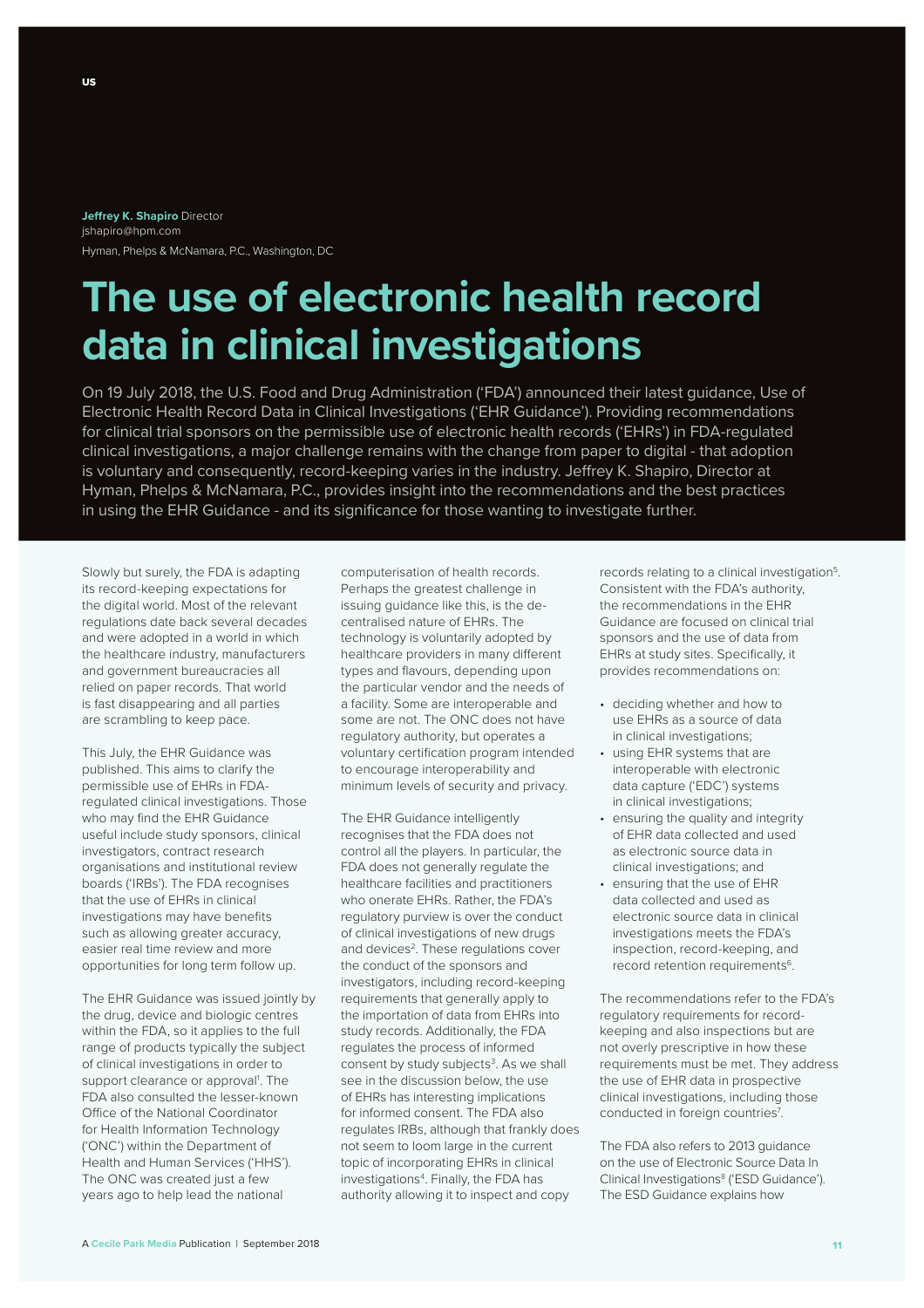## **Jefrey K. Shapiro** Director jshapiro@hpm.com Hyman, Phelps & McNamara, P.C., Washington, DC

# **The use of electronic health record data in clinical investigations**

On 19 July 2018, the U.S. Food and Drug Administration ('FDA') announced their latest guidance, Use of Electronic Health Record Data in Clinical Investigations ('EHR Guidance'). Providing recommendations for clinical trial sponsors on the permissible use of electronic health records ('EHRs') in FDA-regulated clinical investigations, a major challenge remains with the change from paper to digital - that adoption is voluntary and consequently, record-keeping varies in the industry. Jefrey K. Shapiro, Director at Hyman, Phelps & McNamara, P.C., provides insight into the recommendations and the best practices in using the EHR Guidance - and its significance for those wanting to investigate further.

Slowly but surely, the FDA is adapting its record-keeping expectations for the digital world. Most of the relevant regulations date back several decades and were adopted in a world in which the healthcare industry, manufacturers and government bureaucracies all relied on paper records. That world is fast disappearing and all parties are scrambling to keep pace.

This July, the EHR Guidance was published. This aims to clarify the permissible use of EHRs in FDAregulated clinical investigations. Those who may find the EHR Guidance useful include study sponsors, clinical investigators, contract research organisations and institutional review boards ('IRBs'). The FDA recognises that the use of EHRs in clinical investigations may have benefits such as allowing greater accuracy, easier real time review and more opportunities for long term follow up.

The EHR Guidance was issued jointly by the drug, device and biologic centres within the FDA, so it applies to the full range of products typically the subject of clinical investigations in order to support clearance or approval<sup>1</sup>. The FDA also consulted the lesser-known Office of the National Coordinator for Health Information Technology ('ONC') within the Department of Health and Human Services ('HHS'). The ONC was created just a few years ago to help lead the national

computerisation of health records. Perhaps the greatest challenge in issuing guidance like this, is the decentralised nature of EHRs. The technology is voluntarily adopted by healthcare providers in many diferent types and flavours, depending upon the particular vendor and the needs of a facility. Some are interoperable and some are not. The ONC does not have regulatory authority, but operates a voluntary certification program intended to encourage interoperability and minimum levels of security and privacy.

The EHR Guidance intelligently recognises that the FDA does not control all the players. In particular, the FDA does not generally regulate the healthcare facilities and practitioners who onerate EHRs. Rather, the FDA's regulatory purview is over the conduct of clinical investigations of new drugs and devices<sup>2</sup>. These regulations cover the conduct of the sponsors and investigators, including record-keeping requirements that generally apply to the importation of data from EHRs into study records. Additionally, the FDA regulates the process of informed consent by study subjects<sup>3</sup>. As we shall see in the discussion below, the use of EHRs has interesting implications for informed consent. The FDA also regulates IRBs, although that frankly does not seem to loom large in the current topic of incorporating EHRs in clinical investigations<sup>4</sup>. Finally, the FDA has authority allowing it to inspect and copy

records relating to a clinical investigation<sup>5</sup> Consistent with the FDA's authority, the recommendations in the EHR Guidance are focused on clinical trial sponsors and the use of data from EHRs at study sites. Specifically, it provides recommendations on:

- deciding whether and how to use EHRs as a source of data in clinical investigations;
- using EHR systems that are interoperable with electronic data capture ('EDC') systems in clinical investigations;
- ensuring the quality and integrity of EHR data collected and used as electronic source data in clinical investigations; and
- ensuring that the use of EHR data collected and used as electronic source data in clinical investigations meets the FDA's inspection, record-keeping, and record retention requirements<sup>6</sup>.

The recommendations refer to the FDA's regulatory requirements for recordkeeping and also inspections but are not overly prescriptive in how these requirements must be met. They address the use of EHR data in prospective clinical investigations, including those conducted in foreign countries<sup>7</sup>.

The FDA also refers to 2013 guidance on the use of Electronic Source Data In Clinical Investigations<sup>8</sup> ('ESD Guidance'). The ESD Guidance explains how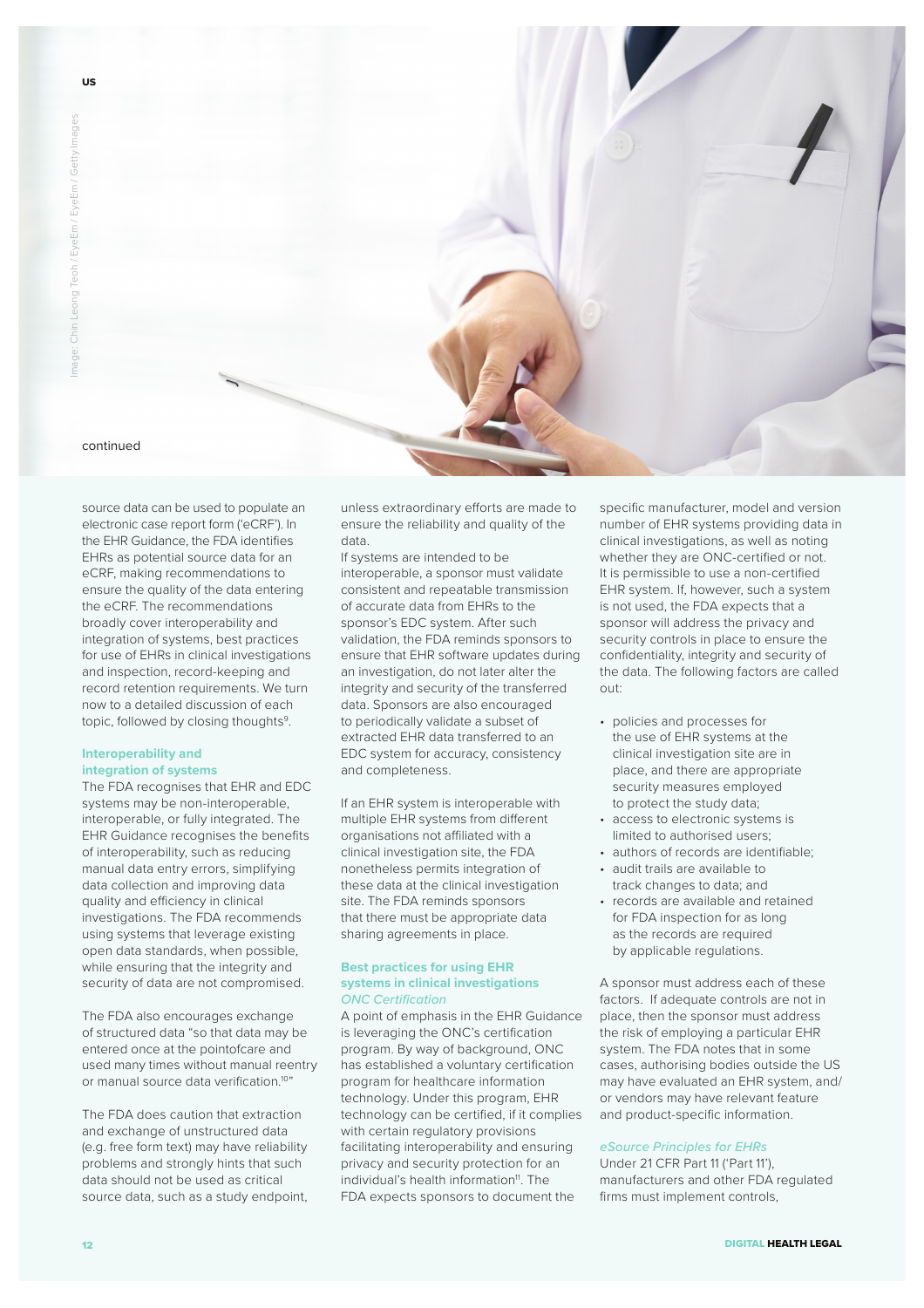

source data can be used to populate an electronic case report form ('eCRF'). In the EHR Guidance, the FDA identifies EHRs as potential source data for an eCRF, making recommendations to ensure the quality of the data entering the eCRF. The recommendations broadly cover interoperability and integration of systems, best practices for use of EHRs in clinical investigations and inspection, record-keeping and record retention requirements. We turn now to a detailed discussion of each topic, followed by closing thoughts<sup>9</sup>.

## **Interoperability and integration of systems**

The FDA recognises that EHR and EDC systems may be non-interoperable, interoperable, or fully integrated. The EHR Guidance recognises the benefits of interoperability, such as reducing manual data entry errors, simplifying data collection and improving data quality and efficiency in clinical investigations. The FDA recommends using systems that leverage existing open data standards, when possible, while ensuring that the integrity and security of data are not compromised.

The FDA also encourages exchange of structured data "so that data may be entered once at the pointofcare and used many times without manual reentry or manual source data verification.10"

The FDA does caution that extraction and exchange of unstructured data (e.g. free form text) may have reliability problems and strongly hints that such data should not be used as critical source data, such as a study endpoint,

unless extraordinary efforts are made to ensure the reliability and quality of the data.

If systems are intended to be interoperable, a sponsor must validate consistent and repeatable transmission of accurate data from EHRs to the sponsor's EDC system. After such validation, the FDA reminds sponsors to ensure that EHR software updates during an investigation, do not later alter the integrity and security of the transferred data. Sponsors are also encouraged to periodically validate a subset of extracted EHR data transferred to an EDC system for accuracy, consistency and completeness.

If an EHR system is interoperable with multiple EHR systems from diferent organisations not affiliated with a clinical investigation site, the FDA nonetheless permits integration of these data at the clinical investigation site. The FDA reminds sponsors that there must be appropriate data sharing agreements in place.

## **Best practices for using EHR systems in clinical investigations** *ONC Certification*

A point of emphasis in the EHR Guidance is leveraging the ONC's certification program. By way of background, ONC has established a voluntary certification program for healthcare information technology. Under this program, EHR technology can be certified, if it complies with certain regulatory provisions facilitating interoperability and ensuring privacy and security protection for an individual's health information<sup>11</sup>. The FDA expects sponsors to document the

specific manufacturer, model and version number of EHR systems providing data in clinical investigations, as well as noting whether they are ONC-certified or not. It is permissible to use a non-certified EHR system. If, however, such a system is not used, the FDA expects that a sponsor will address the privacy and security controls in place to ensure the confidentiality, integrity and security of the data. The following factors are called out:

- policies and processes for the use of EHR systems at the clinical investigation site are in place, and there are appropriate security measures employed to protect the study data;
- access to electronic systems is limited to authorised users;
- authors of records are identifiable;
- audit trails are available to track changes to data; and
- records are available and retained for FDA inspection for as long as the records are required by applicable regulations.

A sponsor must address each of these factors. If adequate controls are not in place, then the sponsor must address the risk of employing a particular EHR system. The FDA notes that in some cases, authorising bodies outside the US may have evaluated an EHR system, and/ or vendors may have relevant feature and product-specific information.

# *eSource Principles for EHRs*

Under 21 CFR Part 11 ('Part 11'), manufacturers and other FDA regulated firms must implement controls,